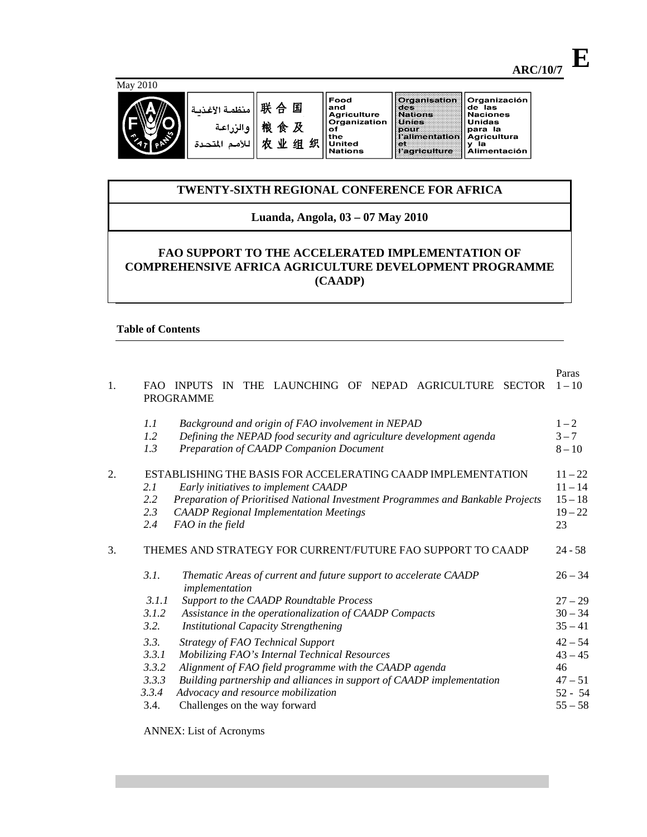| 戦会 国  منظمة الأغذيـة <br> 戦 食 及  <br>   للأمـم المتحـدة |  |
|---------------------------------------------------------|--|

Food Food<br>and<br>Agriculture<br>Organization<br>of<br>the<br>United<br>Nations 组织

# Organización<br>de las<br>Naciones<br>Unidas<br>Lagricultura<br>A gricultura<br>y la<br>Alimentación Organisation<br>des<br>Nations<br>Unies<br>Palimentation<br>Lalimentation et<br>l'agriculture

# **TWENTY-SIXTH REGIONAL CONFERENCE FOR AFRICA**

# **Luanda, Angola, 03 – 07 May 2010**

# **FAO SUPPORT TO THE ACCELERATED IMPLEMENTATION OF COMPREHENSIVE AFRICA AGRICULTURE DEVELOPMENT PROGRAMME (CAADP)**

# **Table of Contents**

| 1. |                                                  | THE LAUNCHING OF NEPAD<br>AGRICULTURE<br>FAO INPUTS<br>IN<br><b>SECTOR</b><br><b>PROGRAMME</b>                                                                                                                                                                                                      | Paras<br>$1 - 10$                                                   |
|----|--------------------------------------------------|-----------------------------------------------------------------------------------------------------------------------------------------------------------------------------------------------------------------------------------------------------------------------------------------------------|---------------------------------------------------------------------|
|    | 1.1<br>1.2<br>1.3                                | Background and origin of FAO involvement in NEPAD<br>Defining the NEPAD food security and agriculture development agenda<br>Preparation of CAADP Companion Document                                                                                                                                 | $1 - 2$<br>$3 - 7$<br>$8 - 10$                                      |
| 2. | 2.1<br>2.2<br>2.3<br>2.4                         | ESTABLISHING THE BASIS FOR ACCELERATING CAADP IMPLEMENTATION<br>Early initiatives to implement CAADP<br>Preparation of Prioritised National Investment Programmes and Bankable Projects<br><b>CAADP</b> Regional Implementation Meetings<br>FAO in the field                                        | $11 - 22$<br>$11 - 14$<br>$15 - 18$<br>$19 - 22$<br>23              |
| 3. |                                                  | THEMES AND STRATEGY FOR CURRENT/FUTURE FAO SUPPORT TO CAADP                                                                                                                                                                                                                                         | $24 - 58$                                                           |
|    | 3.1.<br>3.1.1<br>3.1.2<br>3.2.                   | Thematic Areas of current and future support to accelerate CAADP<br>implementation<br>Support to the CAADP Roundtable Process<br>Assistance in the operationalization of CAADP Compacts<br><b>Institutional Capacity Strengthening</b>                                                              | $26 - 34$<br>$27 - 29$<br>$30 - 34$<br>$35 - 41$                    |
|    | 3.3.<br>3.3.1<br>3.3.2<br>3.3.3<br>3.3.4<br>3.4. | <b>Strategy of FAO Technical Support</b><br>Mobilizing FAO's Internal Technical Resources<br>Alignment of FAO field programme with the CAADP agenda<br>Building partnership and alliances in support of CAADP implementation<br>Advocacy and resource mobilization<br>Challenges on the way forward | $42 - 54$<br>$43 - 45$<br>46<br>$47 - 51$<br>$52 - 54$<br>$55 - 58$ |

ANNEX: List of Acronyms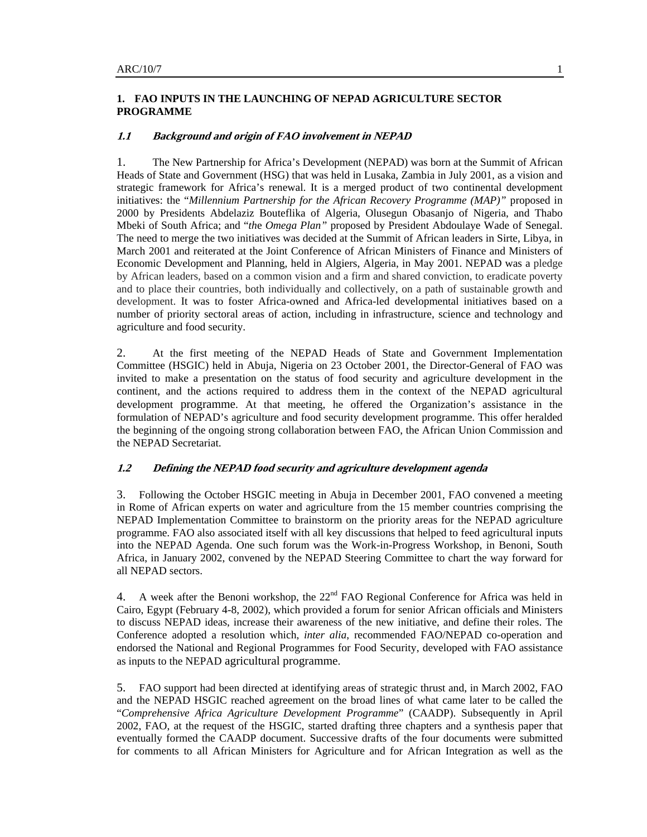# **1. FAO INPUTS IN THE LAUNCHING OF NEPAD AGRICULTURE SECTOR PROGRAMME**

#### **1.1 Background and origin of FAO involvement in NEPAD**

1. The New Partnership for Africa's Development (NEPAD) was born at the Summit of African Heads of State and Government (HSG) that was held in Lusaka, Zambia in July 2001, as a vision and strategic framework for Africa's renewal. It is a merged product of two continental development initiatives: the "*Millennium Partnership for the African Recovery Programme (MAP)"* proposed in 2000 by Presidents Abdelaziz Bouteflika of Algeria, Olusegun Obasanjo of Nigeria, and Thabo Mbeki of South Africa; and "*th*e *Omega Plan"* proposed by President Abdoulaye Wade of Senegal. The need to merge the two initiatives was decided at the Summit of African leaders in Sirte, Libya, in March 2001 and reiterated at the Joint Conference of African Ministers of Finance and Ministers of Economic Development and Planning, held in Algiers, Algeria, in May 2001. NEPAD was a pledge by African leaders, based on a common vision and a firm and shared conviction, to eradicate poverty and to place their countries, both individually and collectively, on a path of sustainable growth and development. It was to foster Africa-owned and Africa-led developmental initiatives based on a number of priority sectoral areas of action, including in infrastructure, science and technology and agriculture and food security.

2. At the first meeting of the NEPAD Heads of State and Government Implementation Committee (HSGIC) held in Abuja, Nigeria on 23 October 2001, the Director-General of FAO was invited to make a presentation on the status of food security and agriculture development in the continent, and the actions required to address them in the context of the NEPAD agricultural development programme. At that meeting, he offered the Organization's assistance in the formulation of NEPAD's agriculture and food security development programme. This offer heralded the beginning of the ongoing strong collaboration between FAO, the African Union Commission and the NEPAD Secretariat.

### **1.2 Defining the NEPAD food security and agriculture development agenda**

3. Following the October HSGIC meeting in Abuja in December 2001, FAO convened a meeting in Rome of African experts on water and agriculture from the 15 member countries comprising the NEPAD Implementation Committee to brainstorm on the priority areas for the NEPAD agriculture programme. FAO also associated itself with all key discussions that helped to feed agricultural inputs into the NEPAD Agenda. One such forum was the Work-in-Progress Workshop, in Benoni, South Africa, in January 2002, convened by the NEPAD Steering Committee to chart the way forward for all NEPAD sectors.

4. A week after the Benoni workshop, the  $22<sup>nd</sup>$  FAO Regional Conference for Africa was held in Cairo, Egypt (February 4-8, 2002), which provided a forum for senior African officials and Ministers to discuss NEPAD ideas, increase their awareness of the new initiative, and define their roles. The Conference adopted a resolution which, *inter alia*, recommended FAO/NEPAD co-operation and endorsed the National and Regional Programmes for Food Security, developed with FAO assistance as inputs to the NEPAD agricultural programme.

5. FAO support had been directed at identifying areas of strategic thrust and, in March 2002, FAO and the NEPAD HSGIC reached agreement on the broad lines of what came later to be called the "*Comprehensive Africa Agriculture Development Programme*" (CAADP). Subsequently in April 2002, FAO, at the request of the HSGIC, started drafting three chapters and a synthesis paper that eventually formed the CAADP document. Successive drafts of the four documents were submitted for comments to all African Ministers for Agriculture and for African Integration as well as the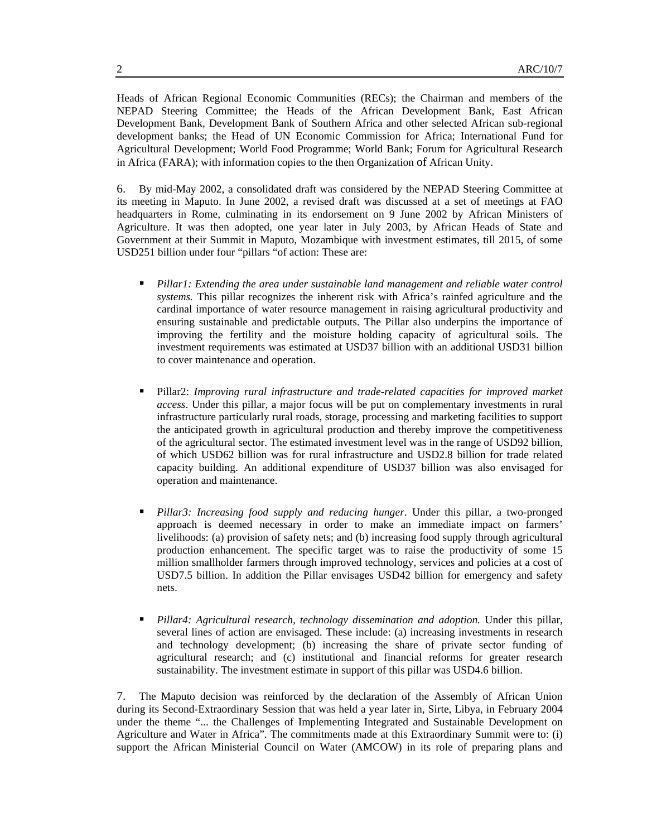Heads of African Regional Economic Communities (RECs); the Chairman and members of the NEPAD Steering Committee; the Heads of the African Development Bank, East African Development Bank, Development Bank of Southern Africa and other selected African sub-regional development banks; the Head of UN Economic Commission for Africa; International Fund for Agricultural Development; World Food Programme; World Bank; Forum for Agricultural Research in Africa (FARA); with information copies to the then Organization of African Unity.

6. By mid-May 2002, a consolidated draft was considered by the NEPAD Steering Committee at its meeting in Maputo. In June 2002, a revised draft was discussed at a set of meetings at FAO headquarters in Rome, culminating in its endorsement on 9 June 2002 by African Ministers of Agriculture. It was then adopted, one year later in July 2003, by African Heads of State and Government at their Summit in Maputo, Mozambique with investment estimates, till 2015, of some USD251 billion under four "pillars "of action: These are:

- *Pillar1: Extending the area under sustainable land management and reliable water control systems.* This pillar recognizes the inherent risk with Africa's rainfed agriculture and the cardinal importance of water resource management in raising agricultural productivity and ensuring sustainable and predictable outputs. The Pillar also underpins the importance of improving the fertility and the moisture holding capacity of agricultural soils. The investment requirements was estimated at USD37 billion with an additional USD31 billion to cover maintenance and operation.
- Pillar2: *Improving rural infrastructure and trade-related capacities for improved market access*. Under this pillar, a major focus will be put on complementary investments in rural infrastructure particularly rural roads, storage, processing and marketing facilities to support the anticipated growth in agricultural production and thereby improve the competitiveness of the agricultural sector. The estimated investment level was in the range of USD92 billion, of which USD62 billion was for rural infrastructure and USD2.8 billion for trade related capacity building. An additional expenditure of USD37 billion was also envisaged for operation and maintenance.
- *Pillar3: Increasing food supply and reducing hunger*. Under this pillar, a two-pronged approach is deemed necessary in order to make an immediate impact on farmers' livelihoods: (a) provision of safety nets; and (b) increasing food supply through agricultural production enhancement. The specific target was to raise the productivity of some 15 million smallholder farmers through improved technology, services and policies at a cost of USD7.5 billion. In addition the Pillar envisages USD42 billion for emergency and safety nets.
- *Pillar4: Agricultural research, technology dissemination and adoption.* Under this pillar, several lines of action are envisaged. These include: (a) increasing investments in research and technology development; (b) increasing the share of private sector funding of agricultural research; and (c) institutional and financial reforms for greater research sustainability. The investment estimate in support of this pillar was USD4.6 billion.

7. The Maputo decision was reinforced by the declaration of the Assembly of African Union during its Second-Extraordinary Session that was held a year later in, Sirte, Libya, in February 2004 under the theme "... the Challenges of Implementing Integrated and Sustainable Development on Agriculture and Water in Africa". The commitments made at this Extraordinary Summit were to: (i) support the African Ministerial Council on Water (AMCOW) in its role of preparing plans and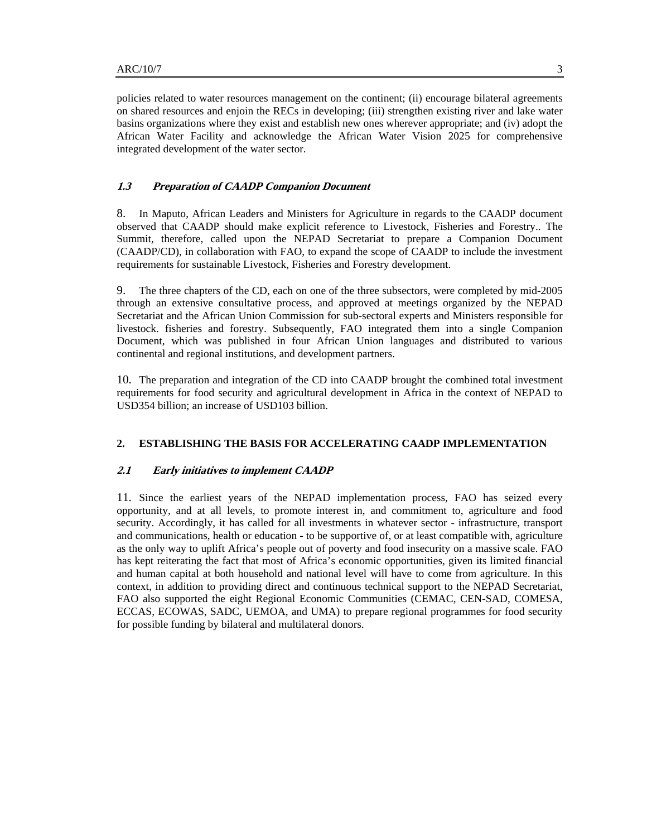policies related to water resources management on the continent; (ii) encourage bilateral agreements on shared resources and enjoin the RECs in developing; (iii) strengthen existing river and lake water basins organizations where they exist and establish new ones wherever appropriate; and (iv) adopt the African Water Facility and acknowledge the African Water Vision 2025 for comprehensive integrated development of the water sector.

# **1.3 Preparation of CAADP Companion Document**

8. In Maputo, African Leaders and Ministers for Agriculture in regards to the CAADP document observed that CAADP should make explicit reference to Livestock, Fisheries and Forestry.. The Summit, therefore, called upon the NEPAD Secretariat to prepare a Companion Document (CAADP/CD), in collaboration with FAO, to expand the scope of CAADP to include the investment requirements for sustainable Livestock, Fisheries and Forestry development.

9. The three chapters of the CD, each on one of the three subsectors, were completed by mid-2005 through an extensive consultative process, and approved at meetings organized by the NEPAD Secretariat and the African Union Commission for sub-sectoral experts and Ministers responsible for livestock. fisheries and forestry. Subsequently, FAO integrated them into a single Companion Document, which was published in four African Union languages and distributed to various continental and regional institutions, and development partners.

10. The preparation and integration of the CD into CAADP brought the combined total investment requirements for food security and agricultural development in Africa in the context of NEPAD to USD354 billion; an increase of USD103 billion.

### **2. ESTABLISHING THE BASIS FOR ACCELERATING CAADP IMPLEMENTATION**

## **2.1 Early initiatives to implement CAADP**

11. Since the earliest years of the NEPAD implementation process, FAO has seized every opportunity, and at all levels, to promote interest in, and commitment to, agriculture and food security. Accordingly, it has called for all investments in whatever sector - infrastructure, transport and communications, health or education - to be supportive of, or at least compatible with, agriculture as the only way to uplift Africa's people out of poverty and food insecurity on a massive scale. FAO has kept reiterating the fact that most of Africa's economic opportunities, given its limited financial and human capital at both household and national level will have to come from agriculture. In this context, in addition to providing direct and continuous technical support to the NEPAD Secretariat, FAO also supported the eight Regional Economic Communities (CEMAC, CEN-SAD, COMESA, ECCAS, ECOWAS, SADC, UEMOA, and UMA) to prepare regional programmes for food security for possible funding by bilateral and multilateral donors.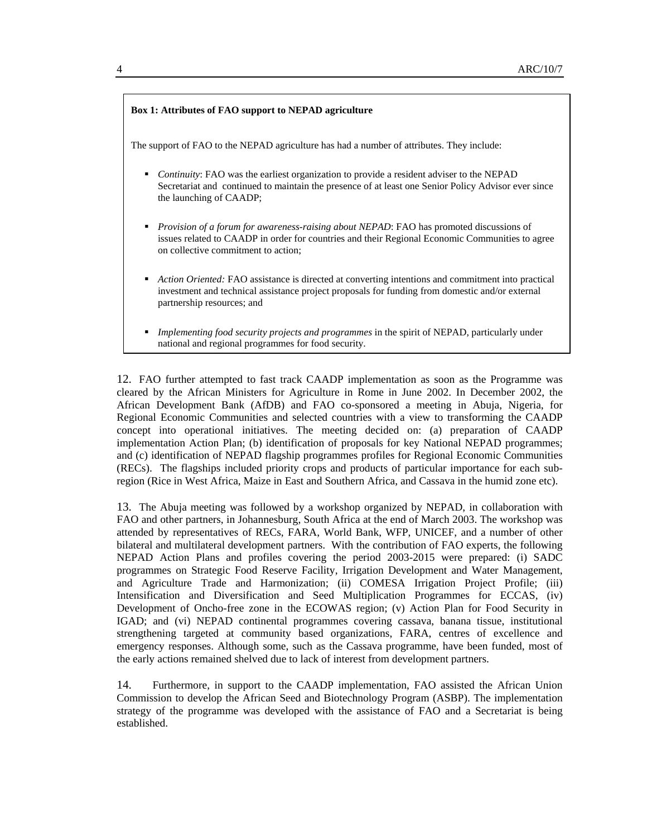

12. FAO further attempted to fast track CAADP implementation as soon as the Programme was cleared by the African Ministers for Agriculture in Rome in June 2002. In December 2002, the African Development Bank (AfDB) and FAO co-sponsored a meeting in Abuja, Nigeria, for Regional Economic Communities and selected countries with a view to transforming the CAADP concept into operational initiatives. The meeting decided on: (a) preparation of CAADP implementation Action Plan; (b) identification of proposals for key National NEPAD programmes; and (c) identification of NEPAD flagship programmes profiles for Regional Economic Communities (RECs). The flagships included priority crops and products of particular importance for each subregion (Rice in West Africa, Maize in East and Southern Africa, and Cassava in the humid zone etc).

13. The Abuja meeting was followed by a workshop organized by NEPAD, in collaboration with FAO and other partners, in Johannesburg, South Africa at the end of March 2003. The workshop was attended by representatives of RECs, FARA, World Bank, WFP, UNICEF, and a number of other bilateral and multilateral development partners. With the contribution of FAO experts, the following NEPAD Action Plans and profiles covering the period 2003-2015 were prepared: (i) SADC programmes on Strategic Food Reserve Facility, Irrigation Development and Water Management, and Agriculture Trade and Harmonization; (ii) COMESA Irrigation Project Profile; (iii) Intensification and Diversification and Seed Multiplication Programmes for ECCAS, (iv) Development of Oncho-free zone in the ECOWAS region; (v) Action Plan for Food Security in IGAD; and (vi) NEPAD continental programmes covering cassava, banana tissue, institutional strengthening targeted at community based organizations, FARA, centres of excellence and emergency responses. Although some, such as the Cassava programme, have been funded, most of the early actions remained shelved due to lack of interest from development partners.

14. Furthermore, in support to the CAADP implementation, FAO assisted the African Union Commission to develop the African Seed and Biotechnology Program (ASBP). The implementation strategy of the programme was developed with the assistance of FAO and a Secretariat is being established.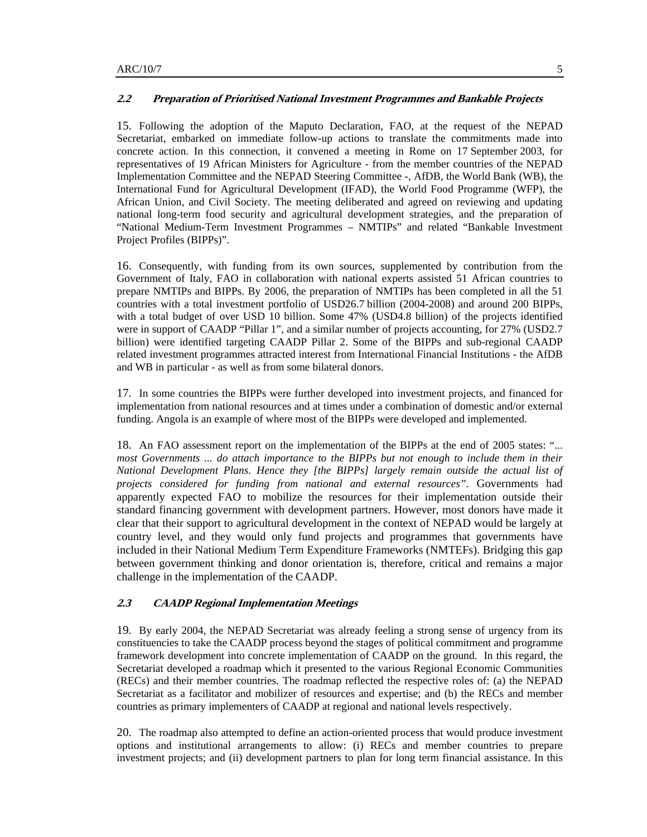# **2.2 Preparation of Prioritised National Investment Programmes and Bankable Projects**

15. Following the adoption of the Maputo Declaration, FAO, at the request of the NEPAD Secretariat, embarked on immediate follow-up actions to translate the commitments made into concrete action. In this connection, it convened a meeting in Rome on 17 September 2003, for representatives of 19 African Ministers for Agriculture - from the member countries of the NEPAD Implementation Committee and the NEPAD Steering Committee -, AfDB, the World Bank (WB), the International Fund for Agricultural Development (IFAD), the World Food Programme (WFP), the African Union, and Civil Society. The meeting deliberated and agreed on reviewing and updating national long-term food security and agricultural development strategies, and the preparation of "National Medium-Term Investment Programmes – NMTIPs" and related "Bankable Investment Project Profiles (BIPPs)".

16. Consequently, with funding from its own sources, supplemented by contribution from the Government of Italy, FAO in collaboration with national experts assisted 51 African countries to prepare NMTIPs and BIPPs. By 2006, the preparation of NMTIPs has been completed in all the 51 countries with a total investment portfolio of USD26.7 billion (2004-2008) and around 200 BIPPs, with a total budget of over USD 10 billion. Some 47% (USD4.8 billion) of the projects identified were in support of CAADP "Pillar 1", and a similar number of projects accounting, for 27% (USD2.7) billion) were identified targeting CAADP Pillar 2. Some of the BIPPs and sub-regional CAADP related investment programmes attracted interest from International Financial Institutions - the AfDB and WB in particular - as well as from some bilateral donors.

17. In some countries the BIPPs were further developed into investment projects, and financed for implementation from national resources and at times under a combination of domestic and/or external funding. Angola is an example of where most of the BIPPs were developed and implemented.

18. An FAO assessment report on the implementation of the BIPPs at the end of 2005 states: "... *most Governments ... do attach importance to the BIPPs but not enough to include them in their National Development Plans. Hence they [the BIPPs] largely remain outside the actual list of projects considered for funding from national and external resources".* Governments had apparently expected FAO to mobilize the resources for their implementation outside their standard financing government with development partners. However, most donors have made it clear that their support to agricultural development in the context of NEPAD would be largely at country level, and they would only fund projects and programmes that governments have included in their National Medium Term Expenditure Frameworks (NMTEFs). Bridging this gap between government thinking and donor orientation is, therefore, critical and remains a major challenge in the implementation of the CAADP.

#### **2.3 CAADP Regional Implementation Meetings**

19. By early 2004, the NEPAD Secretariat was already feeling a strong sense of urgency from its constituencies to take the CAADP process beyond the stages of political commitment and programme framework development into concrete implementation of CAADP on the ground. In this regard, the Secretariat developed a roadmap which it presented to the various Regional Economic Communities (RECs) and their member countries. The roadmap reflected the respective roles of: (a) the NEPAD Secretariat as a facilitator and mobilizer of resources and expertise; and (b) the RECs and member countries as primary implementers of CAADP at regional and national levels respectively.

20. The roadmap also attempted to define an action-oriented process that would produce investment options and institutional arrangements to allow: (i) RECs and member countries to prepare investment projects; and (ii) development partners to plan for long term financial assistance. In this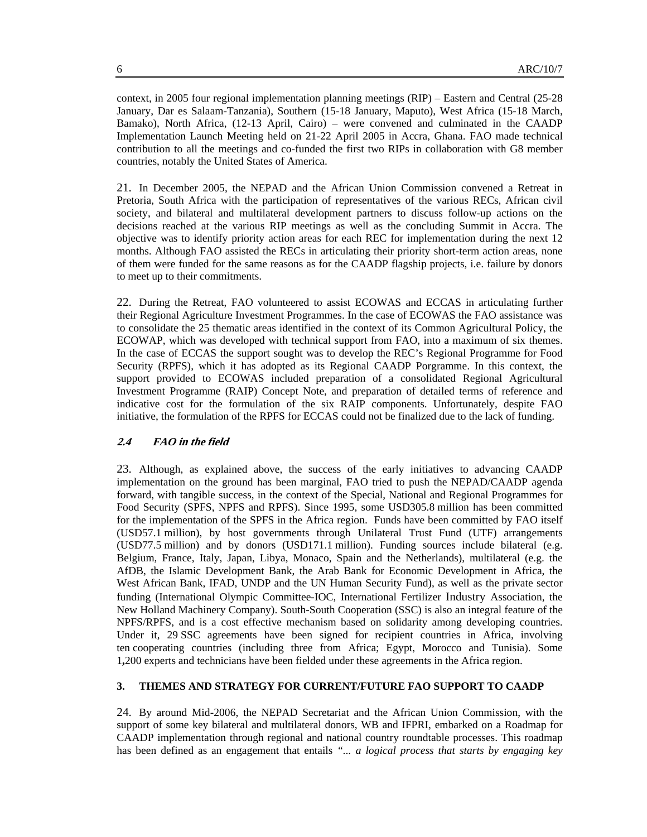context, in 2005 four regional implementation planning meetings (RIP) – Eastern and Central (25-28 January, Dar es Salaam-Tanzania), Southern (15-18 January, Maputo), West Africa (15-18 March, Bamako), North Africa, (12-13 April, Cairo) – were convened and culminated in the CAADP Implementation Launch Meeting held on 21-22 April 2005 in Accra, Ghana. FAO made technical contribution to all the meetings and co-funded the first two RIPs in collaboration with G8 member countries, notably the United States of America.

21. In December 2005, the NEPAD and the African Union Commission convened a Retreat in Pretoria, South Africa with the participation of representatives of the various RECs, African civil society, and bilateral and multilateral development partners to discuss follow-up actions on the decisions reached at the various RIP meetings as well as the concluding Summit in Accra. The objective was to identify priority action areas for each REC for implementation during the next 12 months. Although FAO assisted the RECs in articulating their priority short-term action areas, none of them were funded for the same reasons as for the CAADP flagship projects, i.e. failure by donors to meet up to their commitments.

22. During the Retreat, FAO volunteered to assist ECOWAS and ECCAS in articulating further their Regional Agriculture Investment Programmes. In the case of ECOWAS the FAO assistance was to consolidate the 25 thematic areas identified in the context of its Common Agricultural Policy, the ECOWAP, which was developed with technical support from FAO, into a maximum of six themes. In the case of ECCAS the support sought was to develop the REC's Regional Programme for Food Security (RPFS), which it has adopted as its Regional CAADP Porgramme. In this context, the support provided to ECOWAS included preparation of a consolidated Regional Agricultural Investment Programme (RAIP) Concept Note, and preparation of detailed terms of reference and indicative cost for the formulation of the six RAIP components. Unfortunately, despite FAO initiative, the formulation of the RPFS for ECCAS could not be finalized due to the lack of funding.

# **2.4 FAO in the field**

23. Although, as explained above, the success of the early initiatives to advancing CAADP implementation on the ground has been marginal, FAO tried to push the NEPAD/CAADP agenda forward, with tangible success, in the context of the Special, National and Regional Programmes for Food Security (SPFS, NPFS and RPFS). Since 1995, some USD305.8 million has been committed for the implementation of the SPFS in the Africa region. Funds have been committed by FAO itself (USD57.1 million), by host governments through Unilateral Trust Fund (UTF) arrangements (USD77.5 million) and by donors (USD171.1 million). Funding sources include bilateral (e.g. Belgium, France, Italy, Japan, Libya, Monaco, Spain and the Netherlands), multilateral (e.g. the AfDB, the Islamic Development Bank, the Arab Bank for Economic Development in Africa, the West African Bank, IFAD, UNDP and the UN Human Security Fund), as well as the private sector funding (International Olympic Committee-IOC, International Fertilizer Industry Association, the New Holland Machinery Company). South-South Cooperation (SSC) is also an integral feature of the NPFS/RPFS, and is a cost effective mechanism based on solidarity among developing countries. Under it, 29 SSC agreements have been signed for recipient countries in Africa, involving ten cooperating countries (including three from Africa; Egypt, Morocco and Tunisia). Some 1**,**200 experts and technicians have been fielded under these agreements in the Africa region.

# **3. THEMES AND STRATEGY FOR CURRENT/FUTURE FAO SUPPORT TO CAADP**

24. By around Mid-2006, the NEPAD Secretariat and the African Union Commission, with the support of some key bilateral and multilateral donors, WB and IFPRI, embarked on a Roadmap for CAADP implementation through regional and national country roundtable processes. This roadmap has been defined as an engagement that entails *"... a logical process that starts by engaging key*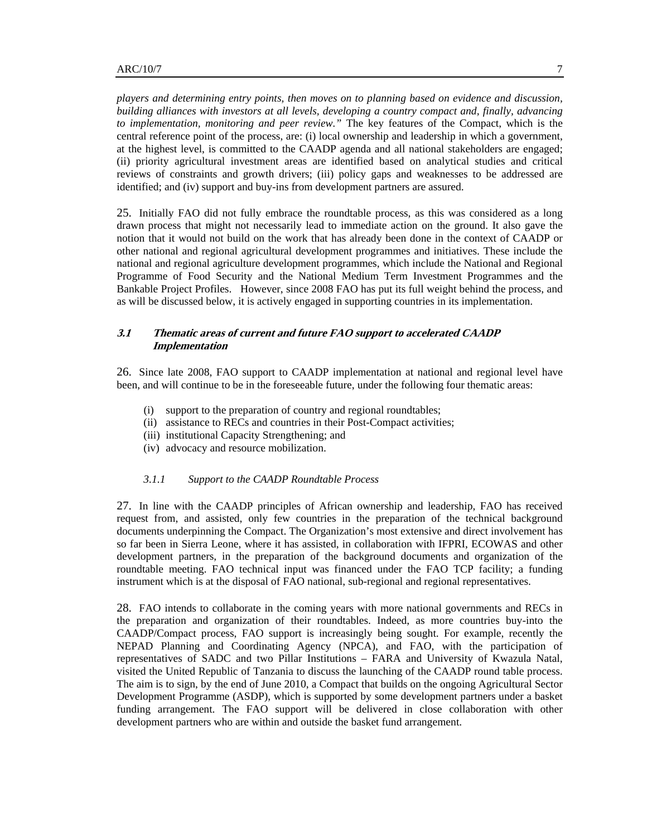*players and determining entry points, then moves on to planning based on evidence and discussion, building alliances with investors at all levels, developing a country compact and, finally, advancing to implementation, monitoring and peer review."* The key features of the Compact, which is the central reference point of the process, are: (i) local ownership and leadership in which a government, at the highest level, is committed to the CAADP agenda and all national stakeholders are engaged; (ii) priority agricultural investment areas are identified based on analytical studies and critical reviews of constraints and growth drivers; (iii) policy gaps and weaknesses to be addressed are identified; and (iv) support and buy-ins from development partners are assured.

25. Initially FAO did not fully embrace the roundtable process, as this was considered as a long drawn process that might not necessarily lead to immediate action on the ground. It also gave the notion that it would not build on the work that has already been done in the context of CAADP or other national and regional agricultural development programmes and initiatives. These include the national and regional agriculture development programmes, which include the National and Regional Programme of Food Security and the National Medium Term Investment Programmes and the Bankable Project Profiles. However, since 2008 FAO has put its full weight behind the process, and as will be discussed below, it is actively engaged in supporting countries in its implementation.

# **3.1 Thematic areas of current and future FAO support to accelerated CAADP Implementation**

26. Since late 2008, FAO support to CAADP implementation at national and regional level have been, and will continue to be in the foreseeable future, under the following four thematic areas:

- (i) support to the preparation of country and regional roundtables;
- (ii) assistance to RECs and countries in their Post-Compact activities;
- (iii) institutional Capacity Strengthening; and
- (iv) advocacy and resource mobilization.

#### *3.1.1 Support to the CAADP Roundtable Process*

27. In line with the CAADP principles of African ownership and leadership, FAO has received request from, and assisted, only few countries in the preparation of the technical background documents underpinning the Compact. The Organization's most extensive and direct involvement has so far been in Sierra Leone, where it has assisted, in collaboration with IFPRI, ECOWAS and other development partners, in the preparation of the background documents and organization of the roundtable meeting. FAO technical input was financed under the FAO TCP facility; a funding instrument which is at the disposal of FAO national, sub-regional and regional representatives.

28. FAO intends to collaborate in the coming years with more national governments and RECs in the preparation and organization of their roundtables. Indeed, as more countries buy-into the CAADP/Compact process, FAO support is increasingly being sought. For example, recently the NEPAD Planning and Coordinating Agency (NPCA), and FAO, with the participation of representatives of SADC and two Pillar Institutions – FARA and University of Kwazula Natal, visited the United Republic of Tanzania to discuss the launching of the CAADP round table process. The aim is to sign, by the end of June 2010, a Compact that builds on the ongoing Agricultural Sector Development Programme (ASDP), which is supported by some development partners under a basket funding arrangement. The FAO support will be delivered in close collaboration with other development partners who are within and outside the basket fund arrangement.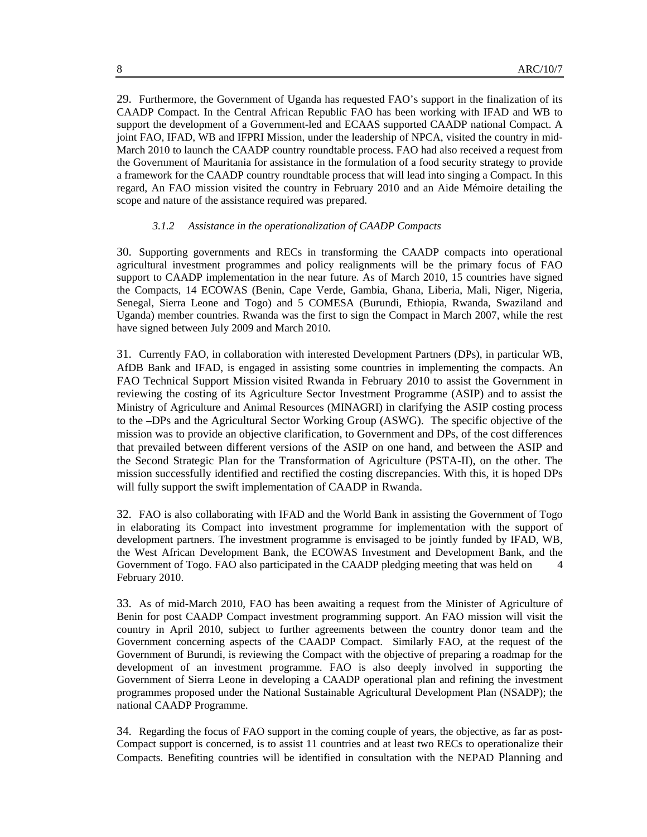29. Furthermore, the Government of Uganda has requested FAO's support in the finalization of its CAADP Compact. In the Central African Republic FAO has been working with IFAD and WB to support the development of a Government-led and ECAAS supported CAADP national Compact. A joint FAO, IFAD, WB and IFPRI Mission, under the leadership of NPCA, visited the country in mid-March 2010 to launch the CAADP country roundtable process. FAO had also received a request from the Government of Mauritania for assistance in the formulation of a food security strategy to provide a framework for the CAADP country roundtable process that will lead into singing a Compact. In this regard, An FAO mission visited the country in February 2010 and an Aide Mémoire detailing the scope and nature of the assistance required was prepared.

### *3.1.2 Assistance in the operationalization of CAADP Compacts*

30. Supporting governments and RECs in transforming the CAADP compacts into operational agricultural investment programmes and policy realignments will be the primary focus of FAO support to CAADP implementation in the near future. As of March 2010, 15 countries have signed the Compacts, 14 ECOWAS (Benin, Cape Verde, Gambia, Ghana, Liberia, Mali, Niger, Nigeria, Senegal, Sierra Leone and Togo) and 5 COMESA (Burundi, Ethiopia, Rwanda, Swaziland and Uganda) member countries. Rwanda was the first to sign the Compact in March 2007, while the rest have signed between July 2009 and March 2010.

31. Currently FAO, in collaboration with interested Development Partners (DPs), in particular WB, AfDB Bank and IFAD, is engaged in assisting some countries in implementing the compacts. An FAO Technical Support Mission visited Rwanda in February 2010 to assist the Government in reviewing the costing of its Agriculture Sector Investment Programme (ASIP) and to assist the Ministry of Agriculture and Animal Resources (MINAGRI) in clarifying the ASIP costing process to the –DPs and the Agricultural Sector Working Group (ASWG). The specific objective of the mission was to provide an objective clarification, to Government and DPs, of the cost differences that prevailed between different versions of the ASIP on one hand, and between the ASIP and the Second Strategic Plan for the Transformation of Agriculture (PSTA-II), on the other. The mission successfully identified and rectified the costing discrepancies. With this, it is hoped DPs will fully support the swift implementation of CAADP in Rwanda.

32. FAO is also collaborating with IFAD and the World Bank in assisting the Government of Togo in elaborating its Compact into investment programme for implementation with the support of development partners. The investment programme is envisaged to be jointly funded by IFAD, WB, the West African Development Bank, the ECOWAS Investment and Development Bank, and the Government of Togo. FAO also participated in the CAADP pledging meeting that was held on 4 February 2010.

33. As of mid-March 2010, FAO has been awaiting a request from the Minister of Agriculture of Benin for post CAADP Compact investment programming support. An FAO mission will visit the country in April 2010, subject to further agreements between the country donor team and the Government concerning aspects of the CAADP Compact. Similarly FAO, at the request of the Government of Burundi, is reviewing the Compact with the objective of preparing a roadmap for the development of an investment programme. FAO is also deeply involved in supporting the Government of Sierra Leone in developing a CAADP operational plan and refining the investment programmes proposed under the National Sustainable Agricultural Development Plan (NSADP); the national CAADP Programme.

34. Regarding the focus of FAO support in the coming couple of years, the objective, as far as post-Compact support is concerned, is to assist 11 countries and at least two RECs to operationalize their Compacts. Benefiting countries will be identified in consultation with the NEPAD Planning and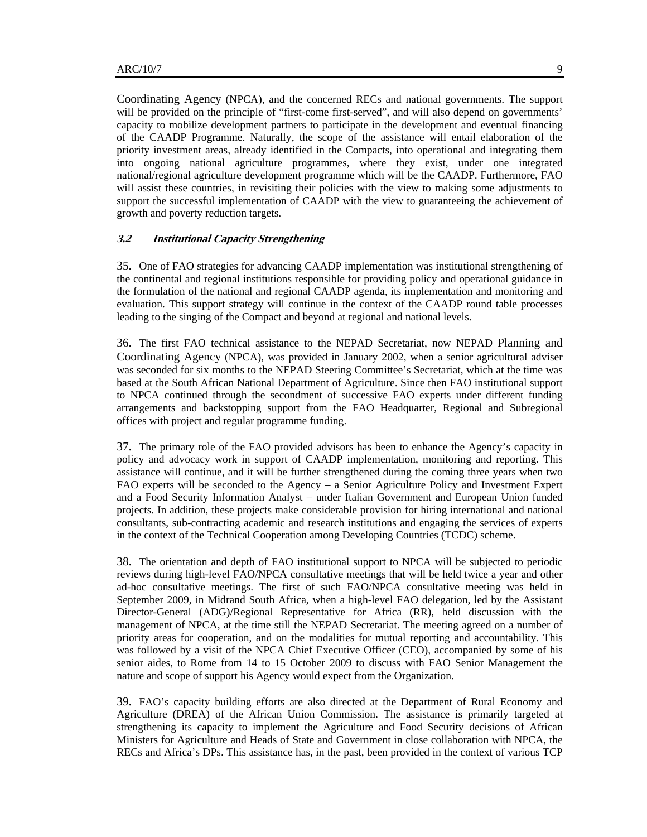Coordinating Agency (NPCA), and the concerned RECs and national governments. The support will be provided on the principle of "first-come first-served", and will also depend on governments' capacity to mobilize development partners to participate in the development and eventual financing of the CAADP Programme. Naturally, the scope of the assistance will entail elaboration of the priority investment areas, already identified in the Compacts, into operational and integrating them into ongoing national agriculture programmes, where they exist, under one integrated national/regional agriculture development programme which will be the CAADP. Furthermore, FAO will assist these countries, in revisiting their policies with the view to making some adjustments to support the successful implementation of CAADP with the view to guaranteeing the achievement of growth and poverty reduction targets.

## **3.2 Institutional Capacity Strengthening**

35. One of FAO strategies for advancing CAADP implementation was institutional strengthening of the continental and regional institutions responsible for providing policy and operational guidance in the formulation of the national and regional CAADP agenda, its implementation and monitoring and evaluation. This support strategy will continue in the context of the CAADP round table processes leading to the singing of the Compact and beyond at regional and national levels.

36. The first FAO technical assistance to the NEPAD Secretariat, now NEPAD Planning and Coordinating Agency (NPCA), was provided in January 2002, when a senior agricultural adviser was seconded for six months to the NEPAD Steering Committee's Secretariat, which at the time was based at the South African National Department of Agriculture. Since then FAO institutional support to NPCA continued through the secondment of successive FAO experts under different funding arrangements and backstopping support from the FAO Headquarter, Regional and Subregional offices with project and regular programme funding.

37. The primary role of the FAO provided advisors has been to enhance the Agency's capacity in policy and advocacy work in support of CAADP implementation, monitoring and reporting. This assistance will continue, and it will be further strengthened during the coming three years when two FAO experts will be seconded to the Agency – a Senior Agriculture Policy and Investment Expert and a Food Security Information Analyst – under Italian Government and European Union funded projects. In addition, these projects make considerable provision for hiring international and national consultants, sub-contracting academic and research institutions and engaging the services of experts in the context of the Technical Cooperation among Developing Countries (TCDC) scheme.

38. The orientation and depth of FAO institutional support to NPCA will be subjected to periodic reviews during high-level FAO/NPCA consultative meetings that will be held twice a year and other ad-hoc consultative meetings. The first of such FAO/NPCA consultative meeting was held in September 2009, in Midrand South Africa, when a high-level FAO delegation, led by the Assistant Director-General (ADG)/Regional Representative for Africa (RR), held discussion with the management of NPCA, at the time still the NEPAD Secretariat. The meeting agreed on a number of priority areas for cooperation, and on the modalities for mutual reporting and accountability. This was followed by a visit of the NPCA Chief Executive Officer (CEO), accompanied by some of his senior aides, to Rome from 14 to 15 October 2009 to discuss with FAO Senior Management the nature and scope of support his Agency would expect from the Organization.

39. FAO's capacity building efforts are also directed at the Department of Rural Economy and Agriculture (DREA) of the African Union Commission. The assistance is primarily targeted at strengthening its capacity to implement the Agriculture and Food Security decisions of African Ministers for Agriculture and Heads of State and Government in close collaboration with NPCA, the RECs and Africa's DPs. This assistance has, in the past, been provided in the context of various TCP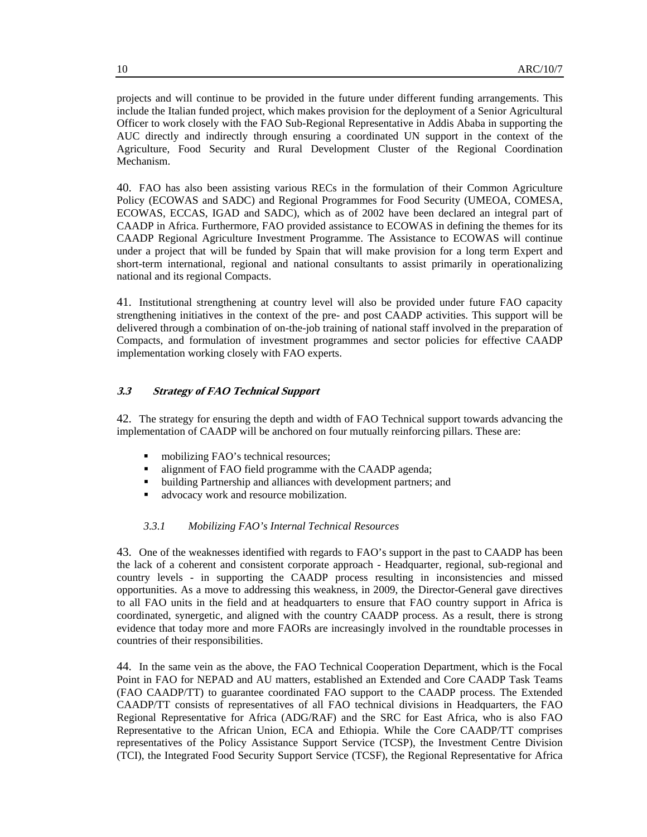projects and will continue to be provided in the future under different funding arrangements. This include the Italian funded project, which makes provision for the deployment of a Senior Agricultural Officer to work closely with the FAO Sub-Regional Representative in Addis Ababa in supporting the AUC directly and indirectly through ensuring a coordinated UN support in the context of the Agriculture, Food Security and Rural Development Cluster of the Regional Coordination Mechanism.

40. FAO has also been assisting various RECs in the formulation of their Common Agriculture Policy (ECOWAS and SADC) and Regional Programmes for Food Security (UMEOA, COMESA, ECOWAS, ECCAS, IGAD and SADC), which as of 2002 have been declared an integral part of CAADP in Africa. Furthermore, FAO provided assistance to ECOWAS in defining the themes for its CAADP Regional Agriculture Investment Programme. The Assistance to ECOWAS will continue under a project that will be funded by Spain that will make provision for a long term Expert and short-term international, regional and national consultants to assist primarily in operationalizing national and its regional Compacts.

41. Institutional strengthening at country level will also be provided under future FAO capacity strengthening initiatives in the context of the pre- and post CAADP activities. This support will be delivered through a combination of on-the-job training of national staff involved in the preparation of Compacts, and formulation of investment programmes and sector policies for effective CAADP implementation working closely with FAO experts.

# **3.3 Strategy of FAO Technical Support**

42. The strategy for ensuring the depth and width of FAO Technical support towards advancing the implementation of CAADP will be anchored on four mutually reinforcing pillars. These are:

- mobilizing FAO's technical resources;
- alignment of FAO field programme with the CAADP agenda;
- building Partnership and alliances with development partners; and
- advocacy work and resource mobilization.

### *3.3.1 Mobilizing FAO's Internal Technical Resources*

43. One of the weaknesses identified with regards to FAO's support in the past to CAADP has been the lack of a coherent and consistent corporate approach - Headquarter, regional, sub-regional and country levels - in supporting the CAADP process resulting in inconsistencies and missed opportunities. As a move to addressing this weakness, in 2009, the Director-General gave directives to all FAO units in the field and at headquarters to ensure that FAO country support in Africa is coordinated, synergetic, and aligned with the country CAADP process. As a result, there is strong evidence that today more and more FAORs are increasingly involved in the roundtable processes in countries of their responsibilities.

44. In the same vein as the above, the FAO Technical Cooperation Department, which is the Focal Point in FAO for NEPAD and AU matters, established an Extended and Core CAADP Task Teams (FAO CAADP/TT) to guarantee coordinated FAO support to the CAADP process. The Extended CAADP/TT consists of representatives of all FAO technical divisions in Headquarters, the FAO Regional Representative for Africa (ADG/RAF) and the SRC for East Africa, who is also FAO Representative to the African Union, ECA and Ethiopia. While the Core CAADP/TT comprises representatives of the Policy Assistance Support Service (TCSP), the Investment Centre Division (TCI), the Integrated Food Security Support Service (TCSF), the Regional Representative for Africa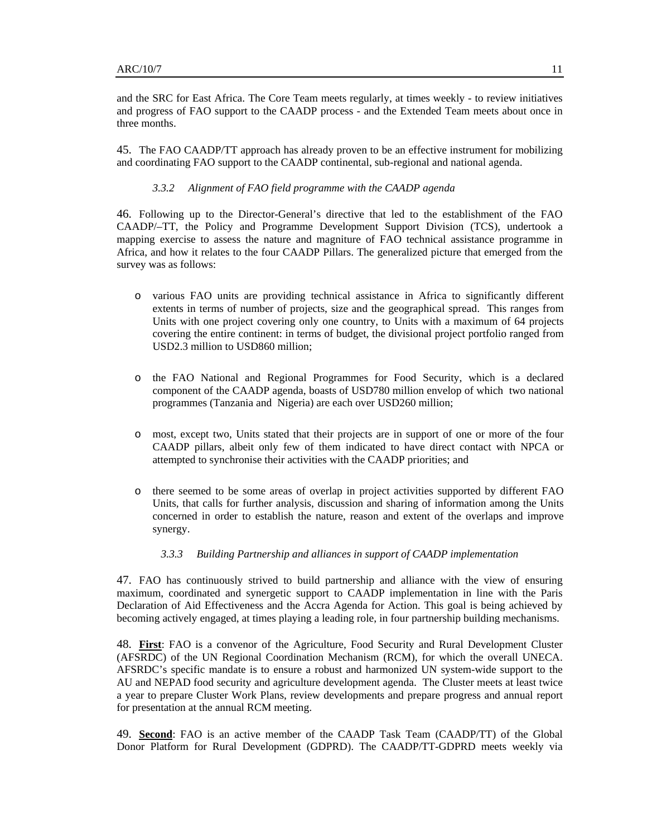and the SRC for East Africa. The Core Team meets regularly, at times weekly - to review initiatives and progress of FAO support to the CAADP process - and the Extended Team meets about once in three months.

45. The FAO CAADP/TT approach has already proven to be an effective instrument for mobilizing and coordinating FAO support to the CAADP continental, sub-regional and national agenda.

#### *3.3.2 Alignment of FAO field programme with the CAADP agenda*

46. Following up to the Director-General's directive that led to the establishment of the FAO CAADP/–TT, the Policy and Programme Development Support Division (TCS), undertook a mapping exercise to assess the nature and magniture of FAO technical assistance programme in Africa, and how it relates to the four CAADP Pillars. The generalized picture that emerged from the survey was as follows:

- o various FAO units are providing technical assistance in Africa to significantly different extents in terms of number of projects, size and the geographical spread. This ranges from Units with one project covering only one country, to Units with a maximum of 64 projects covering the entire continent: in terms of budget, the divisional project portfolio ranged from USD2.3 million to USD860 million;
- o the FAO National and Regional Programmes for Food Security, which is a declared component of the CAADP agenda, boasts of USD780 million envelop of which two national programmes (Tanzania and Nigeria) are each over USD260 million;
- o most, except two, Units stated that their projects are in support of one or more of the four CAADP pillars, albeit only few of them indicated to have direct contact with NPCA or attempted to synchronise their activities with the CAADP priorities; and
- o there seemed to be some areas of overlap in project activities supported by different FAO Units, that calls for further analysis, discussion and sharing of information among the Units concerned in order to establish the nature, reason and extent of the overlaps and improve synergy.

#### *3.3.3 Building Partnership and alliances in support of CAADP implementation*

47. FAO has continuously strived to build partnership and alliance with the view of ensuring maximum, coordinated and synergetic support to CAADP implementation in line with the Paris Declaration of Aid Effectiveness and the Accra Agenda for Action. This goal is being achieved by becoming actively engaged, at times playing a leading role, in four partnership building mechanisms.

48. **First**: FAO is a convenor of the Agriculture, Food Security and Rural Development Cluster (AFSRDC) of the UN Regional Coordination Mechanism (RCM), for which the overall UNECA. AFSRDC's specific mandate is to ensure a robust and harmonized UN system-wide support to the AU and NEPAD food security and agriculture development agenda. The Cluster meets at least twice a year to prepare Cluster Work Plans, review developments and prepare progress and annual report for presentation at the annual RCM meeting.

49. **Second**: FAO is an active member of the CAADP Task Team (CAADP/TT) of the Global Donor Platform for Rural Development (GDPRD). The CAADP/TT-GDPRD meets weekly via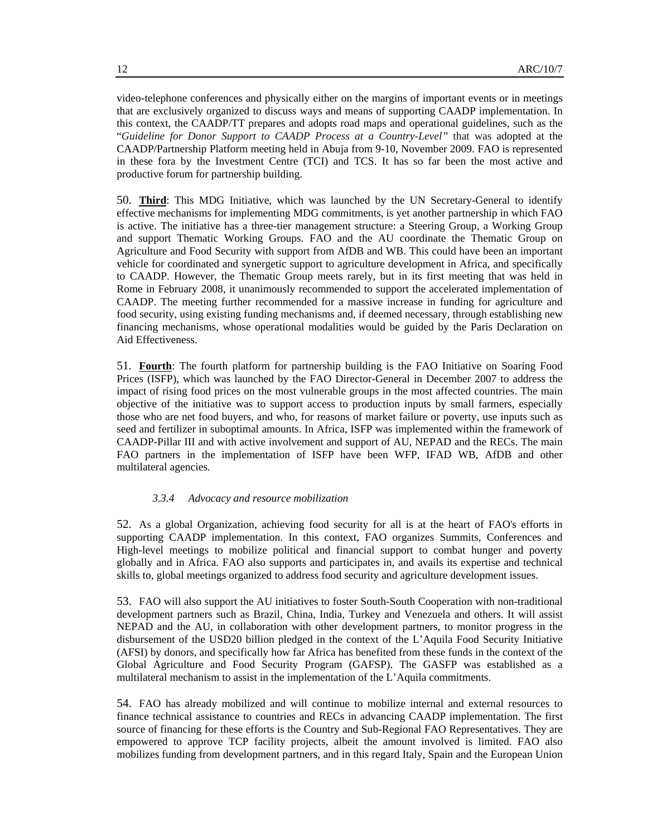video-telephone conferences and physically either on the margins of important events or in meetings that are exclusively organized to discuss ways and means of supporting CAADP implementation. In this context, the CAADP/TT prepares and adopts road maps and operational guidelines, such as the "*Guideline for Donor Support to CAADP Process at a Country-Level"* that was adopted at the CAADP/Partnership Platform meeting held in Abuja from 9-10, November 2009. FAO is represented in these fora by the Investment Centre (TCI) and TCS. It has so far been the most active and productive forum for partnership building.

50. **Third**: This MDG Initiative, which was launched by the UN Secretary-General to identify effective mechanisms for implementing MDG commitments, is yet another partnership in which FAO is active. The initiative has a three-tier management structure: a Steering Group, a Working Group and support Thematic Working Groups. FAO and the AU coordinate the Thematic Group on Agriculture and Food Security with support from AfDB and WB. This could have been an important vehicle for coordinated and synergetic support to agriculture development in Africa, and specifically to CAADP. However, the Thematic Group meets rarely, but in its first meeting that was held in Rome in February 2008, it unanimously recommended to support the accelerated implementation of CAADP. The meeting further recommended for a massive increase in funding for agriculture and food security, using existing funding mechanisms and, if deemed necessary, through establishing new financing mechanisms, whose operational modalities would be guided by the Paris Declaration on Aid Effectiveness.

51. **Fourth**: The fourth platform for partnership building is the FAO Initiative on Soaring Food Prices (ISFP), which was launched by the FAO Director-General in December 2007 to address the impact of rising food prices on the most vulnerable groups in the most affected countries. The main objective of the initiative was to support access to production inputs by small farmers, especially those who are net food buyers, and who, for reasons of market failure or poverty, use inputs such as seed and fertilizer in suboptimal amounts. In Africa, ISFP was implemented within the framework of CAADP-Pillar III and with active involvement and support of AU, NEPAD and the RECs. The main FAO partners in the implementation of ISFP have been WFP, IFAD WB, AfDB and other multilateral agencies.

# *3.3.4 Advocacy and resource mobilization*

52. As a global Organization, achieving food security for all is at the heart of FAO's efforts in supporting CAADP implementation. In this context, FAO organizes Summits, Conferences and High-level meetings to mobilize political and financial support to combat hunger and poverty globally and in Africa. FAO also supports and participates in, and avails its expertise and technical skills to, global meetings organized to address food security and agriculture development issues.

53. FAO will also support the AU initiatives to foster South-South Cooperation with non-traditional development partners such as Brazil, China, India, Turkey and Venezuela and others. It will assist NEPAD and the AU, in collaboration with other development partners, to monitor progress in the disbursement of the USD20 billion pledged in the context of the L'Aquila Food Security Initiative (AFSI) by donors, and specifically how far Africa has benefited from these funds in the context of the Global Agriculture and Food Security Program (GAFSP). The GASFP was established as a multilateral mechanism to assist in the implementation of the L'Aquila commitments.

54. FAO has already mobilized and will continue to mobilize internal and external resources to finance technical assistance to countries and RECs in advancing CAADP implementation. The first source of financing for these efforts is the Country and Sub-Regional FAO Representatives. They are empowered to approve TCP facility projects, albeit the amount involved is limited. FAO also mobilizes funding from development partners, and in this regard Italy, Spain and the European Union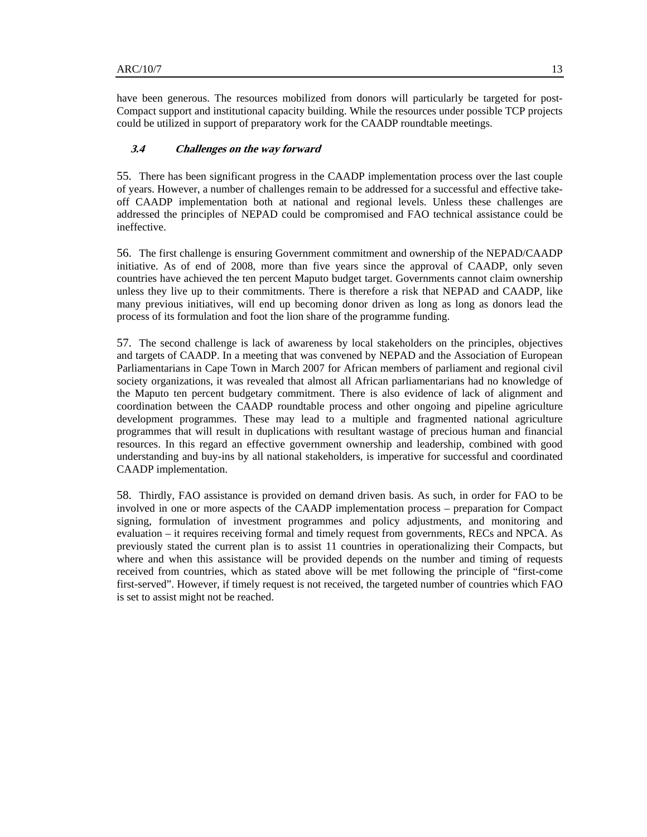have been generous. The resources mobilized from donors will particularly be targeted for post-Compact support and institutional capacity building. While the resources under possible TCP projects could be utilized in support of preparatory work for the CAADP roundtable meetings.

## **3.4 Challenges on the way forward**

55. There has been significant progress in the CAADP implementation process over the last couple of years. However, a number of challenges remain to be addressed for a successful and effective takeoff CAADP implementation both at national and regional levels. Unless these challenges are addressed the principles of NEPAD could be compromised and FAO technical assistance could be ineffective.

56. The first challenge is ensuring Government commitment and ownership of the NEPAD/CAADP initiative. As of end of 2008, more than five years since the approval of CAADP, only seven countries have achieved the ten percent Maputo budget target. Governments cannot claim ownership unless they live up to their commitments. There is therefore a risk that NEPAD and CAADP, like many previous initiatives, will end up becoming donor driven as long as long as donors lead the process of its formulation and foot the lion share of the programme funding.

57. The second challenge is lack of awareness by local stakeholders on the principles, objectives and targets of CAADP. In a meeting that was convened by NEPAD and the Association of European Parliamentarians in Cape Town in March 2007 for African members of parliament and regional civil society organizations, it was revealed that almost all African parliamentarians had no knowledge of the Maputo ten percent budgetary commitment. There is also evidence of lack of alignment and coordination between the CAADP roundtable process and other ongoing and pipeline agriculture development programmes. These may lead to a multiple and fragmented national agriculture programmes that will result in duplications with resultant wastage of precious human and financial resources. In this regard an effective government ownership and leadership, combined with good understanding and buy-ins by all national stakeholders, is imperative for successful and coordinated CAADP implementation.

58. Thirdly, FAO assistance is provided on demand driven basis. As such, in order for FAO to be involved in one or more aspects of the CAADP implementation process – preparation for Compact signing, formulation of investment programmes and policy adjustments, and monitoring and evaluation – it requires receiving formal and timely request from governments, RECs and NPCA. As previously stated the current plan is to assist 11 countries in operationalizing their Compacts, but where and when this assistance will be provided depends on the number and timing of requests received from countries, which as stated above will be met following the principle of "first-come first-served". However, if timely request is not received, the targeted number of countries which FAO is set to assist might not be reached.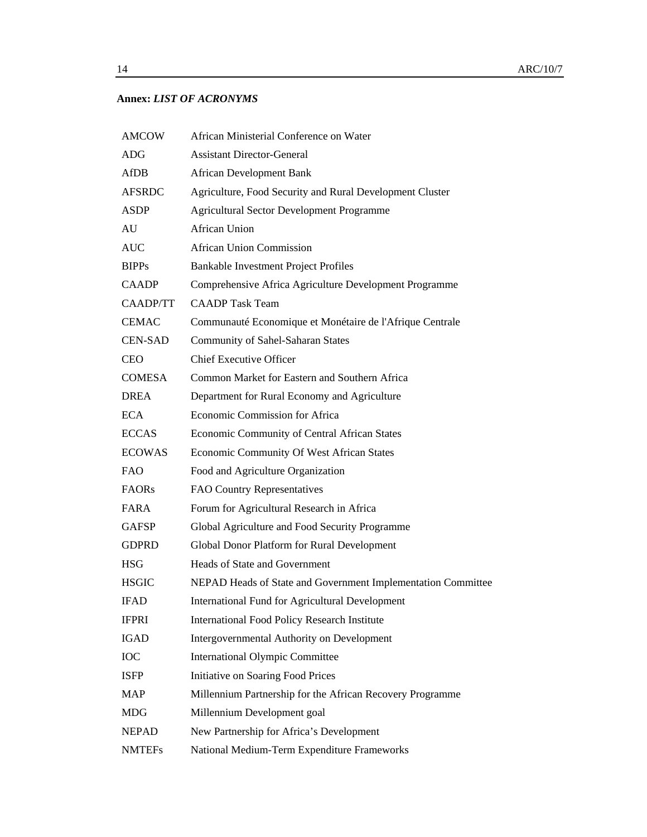# **Annex:** *LIST OF ACRONYMS*

| <b>AMCOW</b>   | African Ministerial Conference on Water                      |
|----------------|--------------------------------------------------------------|
| <b>ADG</b>     | <b>Assistant Director-General</b>                            |
| AfDB           | <b>African Development Bank</b>                              |
| <b>AFSRDC</b>  | Agriculture, Food Security and Rural Development Cluster     |
| ASDP           | <b>Agricultural Sector Development Programme</b>             |
| AU             | African Union                                                |
| <b>AUC</b>     | <b>African Union Commission</b>                              |
| <b>BIPPs</b>   | Bankable Investment Project Profiles                         |
| <b>CAADP</b>   | Comprehensive Africa Agriculture Development Programme       |
| CAADP/TT       | <b>CAADP</b> Task Team                                       |
| <b>CEMAC</b>   | Communauté Economique et Monétaire de l'Afrique Centrale     |
| <b>CEN-SAD</b> | <b>Community of Sahel-Saharan States</b>                     |
| <b>CEO</b>     | <b>Chief Executive Officer</b>                               |
| <b>COMESA</b>  | Common Market for Eastern and Southern Africa                |
| DREA           | Department for Rural Economy and Agriculture                 |
| ECA            | Economic Commission for Africa                               |
| <b>ECCAS</b>   | Economic Community of Central African States                 |
| <b>ECOWAS</b>  | Economic Community Of West African States                    |
| FAO            | Food and Agriculture Organization                            |
| <b>FAORs</b>   | FAO Country Representatives                                  |
| FARA           | Forum for Agricultural Research in Africa                    |
| <b>GAFSP</b>   | Global Agriculture and Food Security Programme               |
| <b>GDPRD</b>   | Global Donor Platform for Rural Development                  |
| HSG            | Heads of State and Government                                |
| <b>HSGIC</b>   | NEPAD Heads of State and Government Implementation Committee |
| IFAD           | <b>International Fund for Agricultural Development</b>       |
| <b>IFPRI</b>   | <b>International Food Policy Research Institute</b>          |
| <b>IGAD</b>    | Intergovernmental Authority on Development                   |
| IOC            | <b>International Olympic Committee</b>                       |
| ISFP           | Initiative on Soaring Food Prices                            |
| <b>MAP</b>     | Millennium Partnership for the African Recovery Programme    |
| MDG            | Millennium Development goal                                  |
| <b>NEPAD</b>   | New Partnership for Africa's Development                     |
| <b>NMTEFs</b>  | National Medium-Term Expenditure Frameworks                  |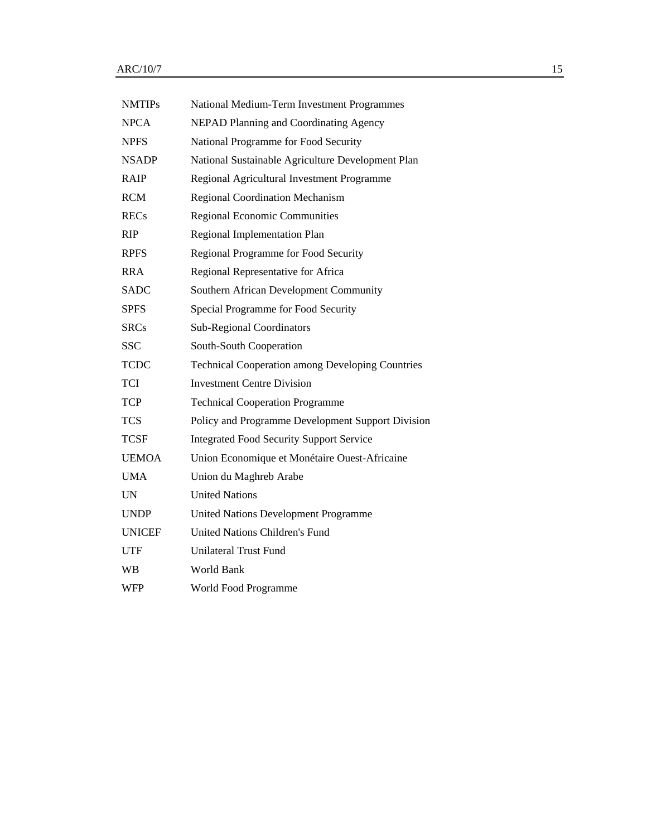| <b>NMTIPs</b> | National Medium-Term Investment Programmes              |
|---------------|---------------------------------------------------------|
| <b>NPCA</b>   | <b>NEPAD Planning and Coordinating Agency</b>           |
| <b>NPFS</b>   | National Programme for Food Security                    |
| <b>NSADP</b>  | National Sustainable Agriculture Development Plan       |
| <b>RAIP</b>   | Regional Agricultural Investment Programme              |
| <b>RCM</b>    | <b>Regional Coordination Mechanism</b>                  |
| <b>RECs</b>   | <b>Regional Economic Communities</b>                    |
| RIP           | Regional Implementation Plan                            |
| <b>RPFS</b>   | Regional Programme for Food Security                    |
| <b>RRA</b>    | Regional Representative for Africa                      |
| <b>SADC</b>   | Southern African Development Community                  |
| <b>SPFS</b>   | Special Programme for Food Security                     |
| <b>SRCs</b>   | <b>Sub-Regional Coordinators</b>                        |
| <b>SSC</b>    | South-South Cooperation                                 |
| <b>TCDC</b>   | <b>Technical Cooperation among Developing Countries</b> |
| <b>TCI</b>    | <b>Investment Centre Division</b>                       |
| <b>TCP</b>    | <b>Technical Cooperation Programme</b>                  |
| <b>TCS</b>    | Policy and Programme Development Support Division       |
| <b>TCSF</b>   | <b>Integrated Food Security Support Service</b>         |
| <b>UEMOA</b>  | Union Economique et Monétaire Ouest-Africaine           |
| <b>UMA</b>    | Union du Maghreb Arabe                                  |
| UN            | <b>United Nations</b>                                   |
| <b>UNDP</b>   | United Nations Development Programme                    |
| <b>UNICEF</b> | <b>United Nations Children's Fund</b>                   |
| <b>UTF</b>    | <b>Unilateral Trust Fund</b>                            |
| WВ            | World Bank                                              |
| <b>WFP</b>    | World Food Programme                                    |